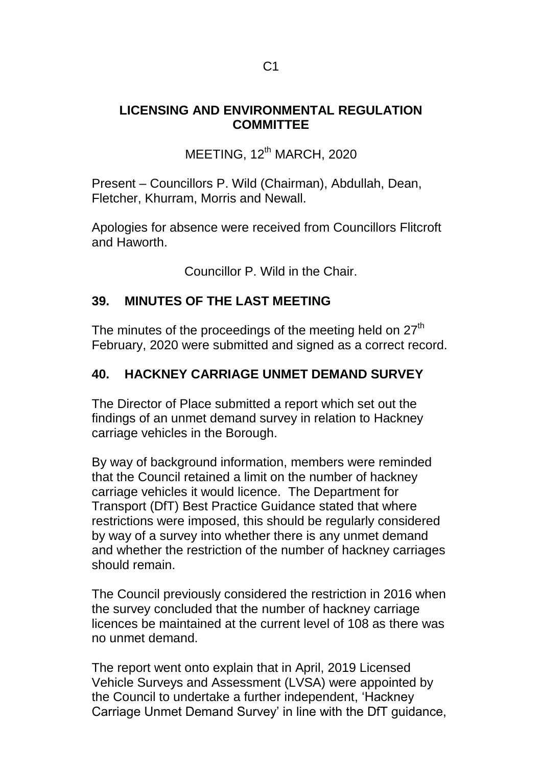#### **LICENSING AND ENVIRONMENTAL REGULATION COMMITTEE**

 $MEETING, 12<sup>th</sup> MARCH, 2020$ 

Present – Councillors P. Wild (Chairman), Abdullah, Dean, Fletcher, Khurram, Morris and Newall.

Apologies for absence were received from Councillors Flitcroft and Haworth.

Councillor P. Wild in the Chair.

### **39. MINUTES OF THE LAST MEETING**

The minutes of the proceedings of the meeting held on 27<sup>th</sup> February, 2020 were submitted and signed as a correct record.

# **40. HACKNEY CARRIAGE UNMET DEMAND SURVEY**

The Director of Place submitted a report which set out the findings of an unmet demand survey in relation to Hackney carriage vehicles in the Borough.

By way of background information, members were reminded that the Council retained a limit on the number of hackney carriage vehicles it would licence. The Department for Transport (DfT) Best Practice Guidance stated that where restrictions were imposed, this should be regularly considered by way of a survey into whether there is any unmet demand and whether the restriction of the number of hackney carriages should remain.

The Council previously considered the restriction in 2016 when the survey concluded that the number of hackney carriage licences be maintained at the current level of 108 as there was no unmet demand.

The report went onto explain that in April, 2019 Licensed Vehicle Surveys and Assessment (LVSA) were appointed by the Council to undertake a further independent, 'Hackney Carriage Unmet Demand Survey' in line with the DfT guidance,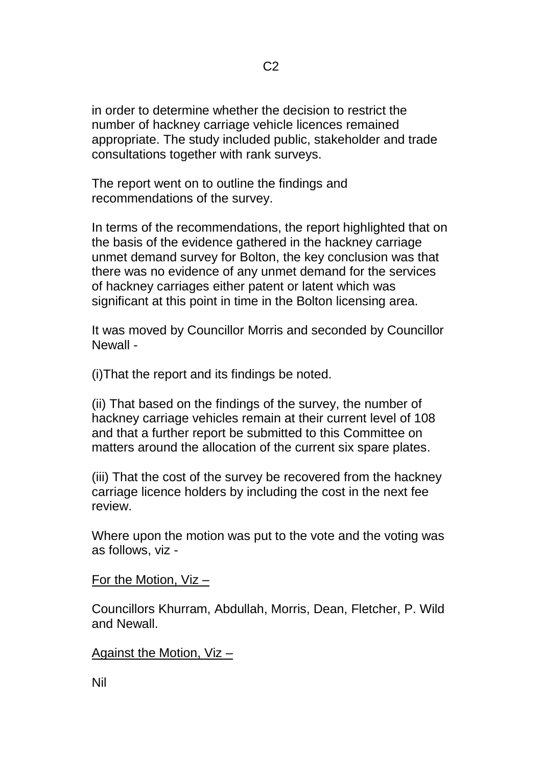in order to determine whether the decision to restrict the number of hackney carriage vehicle licences remained appropriate. The study included public, stakeholder and trade consultations together with rank surveys.

The report went on to outline the findings and recommendations of the survey.

In terms of the recommendations, the report highlighted that on the basis of the evidence gathered in the hackney carriage unmet demand survey for Bolton, the key conclusion was that there was no evidence of any unmet demand for the services of hackney carriages either patent or latent which was significant at this point in time in the Bolton licensing area.

It was moved by Councillor Morris and seconded by Councillor Newall -

(i)That the report and its findings be noted.

(ii) That based on the findings of the survey, the number of hackney carriage vehicles remain at their current level of 108 and that a further report be submitted to this Committee on matters around the allocation of the current six spare plates.

(iii) That the cost of the survey be recovered from the hackney carriage licence holders by including the cost in the next fee review.

Where upon the motion was put to the vote and the voting was as follows, viz -

For the Motion, Viz –

Councillors Khurram, Abdullah, Morris, Dean, Fletcher, P. Wild and Newall.

Against the Motion, Viz –

Nil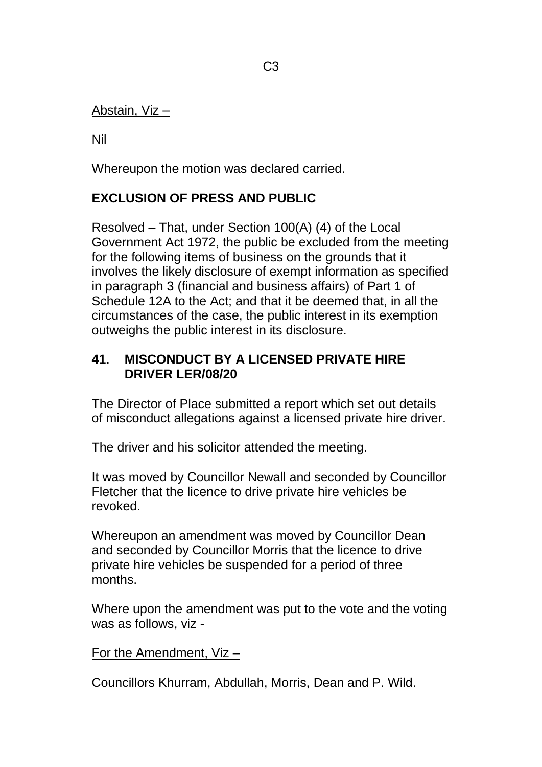#### Abstain, Viz –

Nil

Whereupon the motion was declared carried.

# **EXCLUSION OF PRESS AND PUBLIC**

Resolved – That, under Section 100(A) (4) of the Local Government Act 1972, the public be excluded from the meeting for the following items of business on the grounds that it involves the likely disclosure of exempt information as specified in paragraph 3 (financial and business affairs) of Part 1 of Schedule 12A to the Act; and that it be deemed that, in all the circumstances of the case, the public interest in its exemption outweighs the public interest in its disclosure.

### **41. MISCONDUCT BY A LICENSED PRIVATE HIRE DRIVER LER/08/20**

The Director of Place submitted a report which set out details of misconduct allegations against a licensed private hire driver.

The driver and his solicitor attended the meeting.

It was moved by Councillor Newall and seconded by Councillor Fletcher that the licence to drive private hire vehicles be revoked.

Whereupon an amendment was moved by Councillor Dean and seconded by Councillor Morris that the licence to drive private hire vehicles be suspended for a period of three months.

Where upon the amendment was put to the vote and the voting was as follows, viz -

#### For the Amendment, Viz –

Councillors Khurram, Abdullah, Morris, Dean and P. Wild.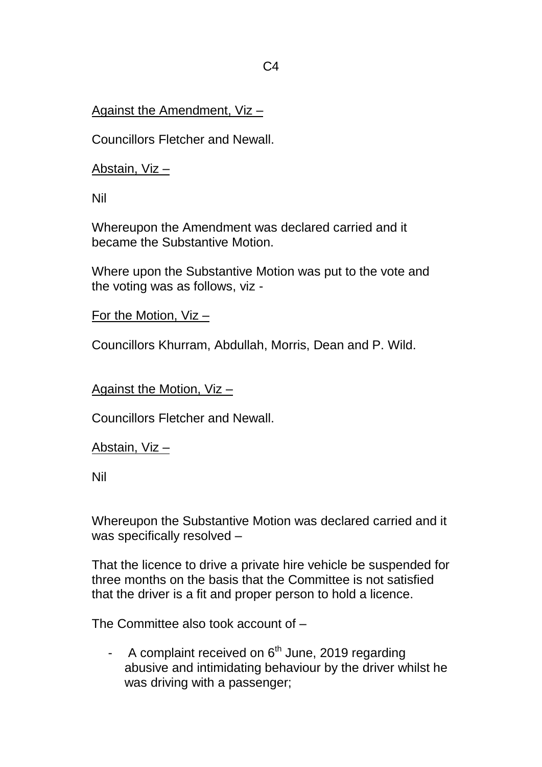## Against the Amendment, Viz –

Councillors Fletcher and Newall.

Abstain, Viz –

Nil

Whereupon the Amendment was declared carried and it became the Substantive Motion.

Where upon the Substantive Motion was put to the vote and the voting was as follows, viz -

For the Motion, Viz –

Councillors Khurram, Abdullah, Morris, Dean and P. Wild.

Against the Motion, Viz –

Councillors Fletcher and Newall.

#### Abstain, Viz –

Nil

Whereupon the Substantive Motion was declared carried and it was specifically resolved –

That the licence to drive a private hire vehicle be suspended for three months on the basis that the Committee is not satisfied that the driver is a fit and proper person to hold a licence.

The Committee also took account of –

- A complaint received on  $6<sup>th</sup>$  June, 2019 regarding abusive and intimidating behaviour by the driver whilst he was driving with a passenger;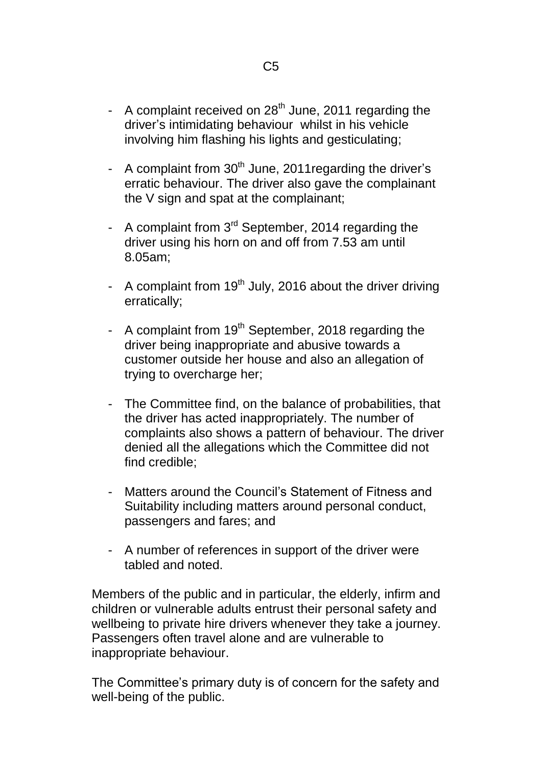- A complaint received on  $28<sup>th</sup>$  June, 2011 regarding the driver's intimidating behaviour whilst in his vehicle involving him flashing his lights and gesticulating;
- A complaint from  $30<sup>th</sup>$  June, 2011 regarding the driver's erratic behaviour. The driver also gave the complainant the V sign and spat at the complainant;
- A complaint from 3<sup>rd</sup> September, 2014 regarding the driver using his horn on and off from 7.53 am until 8.05am;
- A complaint from  $19<sup>th</sup>$  July, 2016 about the driver driving erratically;
- A complaint from 19<sup>th</sup> September, 2018 regarding the driver being inappropriate and abusive towards a customer outside her house and also an allegation of trying to overcharge her;
- The Committee find, on the balance of probabilities, that the driver has acted inappropriately. The number of complaints also shows a pattern of behaviour. The driver denied all the allegations which the Committee did not find credible;
- Matters around the Council's Statement of Fitness and Suitability including matters around personal conduct, passengers and fares; and
- A number of references in support of the driver were tabled and noted.

Members of the public and in particular, the elderly, infirm and children or vulnerable adults entrust their personal safety and wellbeing to private hire drivers whenever they take a journey. Passengers often travel alone and are vulnerable to inappropriate behaviour.

The Committee's primary duty is of concern for the safety and well-being of the public.